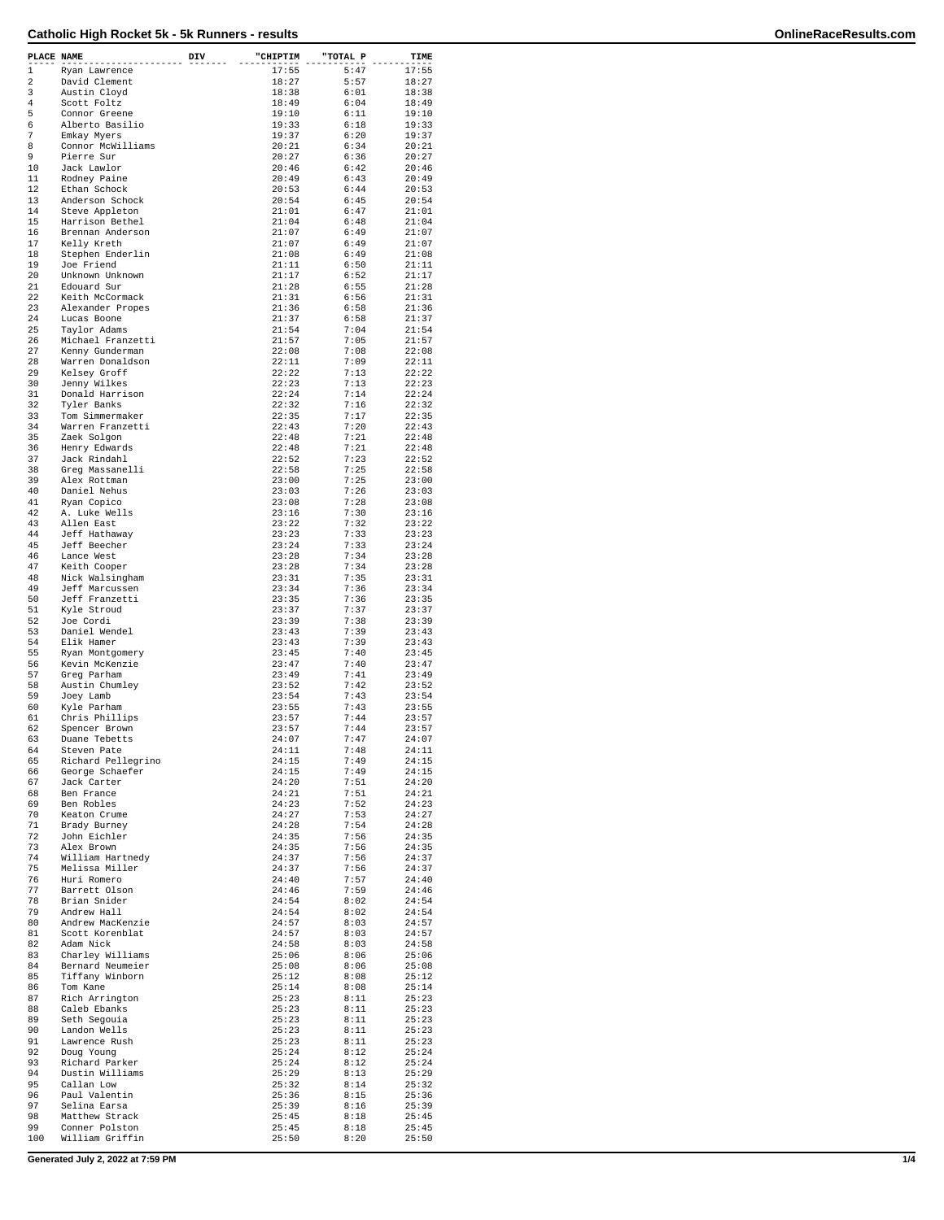| PLACE NAME   |                                 | DIV | "CHIPTIM       | "TOTAL P     | TIME           |
|--------------|---------------------------------|-----|----------------|--------------|----------------|
| $\mathbf{1}$ | Ryan Lawrence                   |     | 17:55          | 5:47         | 17:55          |
| 2            | David Clement                   |     | 18:27          | 5:57         | 18:27          |
| 3            | Austin Cloyd                    |     | 18:38          | 6:01         | 18:38          |
| 4            | Scott Foltz                     |     | 18:49          | 6:04         | 18:49          |
| 5            | Connor Greene                   |     | 19:10          | 6:11         | 19:10          |
| 6            | Alberto Basilio                 |     | 19:33          | 6:18         | 19:33          |
| 7            | Emkay Myers                     |     | 19:37          | 6:20         | 19:37          |
| 8            | Connor McWilliams               |     | 20:21          | 6:34         | 20:21          |
| 9            | Pierre Sur                      |     | 20:27          | 6:36         | 20:27          |
| 10           | Jack Lawlor                     |     | 20:46          | 6:42         | 20:46          |
| 11           | Rodney Paine                    |     | 20:49          | 6:43         | 20:49          |
| 12           | Ethan Schock                    |     | 20:53          | 6:44         | 20:53          |
| 13           | Anderson Schock                 |     | 20:54          | 6:45         | 20:54          |
| 14           | Steve Appleton                  |     | 21:01          | 6:47         | 21:01          |
| 15           | Harrison Bethel                 |     | 21:04          | 6:48         | 21:04          |
| 16           | Brennan Anderson                |     | 21:07          | 6:49         | 21:07          |
| 17<br>18     | Kelly Kreth<br>Stephen Enderlin |     | 21:07          | 6:49         | 21:07          |
| 19           |                                 |     | 21:08<br>21:11 | 6:49<br>6:50 | 21:08<br>21:11 |
| 20           | Joe Friend<br>Unknown Unknown   |     |                |              |                |
| 21           | Edouard Sur                     |     | 21:17<br>21:28 | 6:52<br>6:55 | 21:17<br>21:28 |
| 22           | Keith McCormack                 |     | 21:31          | 6:56         | 21:31          |
| 23           | Alexander Propes                |     | 21:36          | 6:58         | 21:36          |
| 24           | Lucas Boone                     |     | 21:37          | 6:58         | 21:37          |
| 25           | Taylor Adams                    |     | 21:54          | 7:04         | 21:54          |
| 26           | Michael Franzetti               |     | 21:57          | 7:05         | 21:57          |
| 27           | Kenny Gunderman                 |     | 22:08          | 7:08         | 22:08          |
| 28           | Warren Donaldson                |     | 22:11          | 7:09         | 22:11          |
| 29           | Kelsey Groff                    |     | 22:22          | 7:13         | 22:22          |
| 30           | Jenny Wilkes                    |     | 22:23          | 7:13         | 22:23          |
| 31           | Donald Harrison                 |     | 22:24          | 7:14         | 22:24          |
| 32           | Tyler Banks                     |     | 22:32          | 7:16         | 22:32          |
| 33           | Tom Simmermaker                 |     | 22:35          | 7:17         | 22:35          |
| 34           | Warren Franzetti                |     | 22:43          | 7:20         | 22:43          |
| 35           | Zaek Solgon                     |     | 22:48          | 7:21         | 22:48          |
| 36           | Henry Edwards                   |     | 22:48          | 7:21         | 22:48          |
| 37           | Jack Rindahl                    |     | 22:52          | 7:23         | 22:52          |
| 38           | Greg Massanelli                 |     | 22:58          | 7:25         | 22:58          |
| 39           | Alex Rottman                    |     | 23:00          | 7:25         | 23:00          |
| 40           | Daniel Nehus                    |     | 23:03          | 7:26         | 23:03          |
| 41           | Ryan Copico                     |     | 23:08          | 7:28         | 23:08          |
| 42           | A. Luke Wells                   |     | 23:16          | 7:30         | 23:16          |
| 43           | Allen East                      |     | 23:22          | 7:32         | 23:22          |
| 44           | Jeff Hathaway                   |     | 23:23          | 7:33         | 23:23          |
| 45           | Jeff Beecher                    |     | 23:24          | 7:33         | 23:24          |
| 46           | Lance West                      |     | 23:28          | 7:34         | 23:28          |
| 47           | Keith Cooper                    |     | 23:28          | 7:34         | 23:28          |
| 48           | Nick Walsingham                 |     | 23:31          | 7:35         | 23:31          |
| 49           | Jeff Marcussen                  |     | 23:34          | 7:36         | 23:34          |
| 50<br>51     | Jeff Franzetti                  |     | 23:35          | 7:36<br>7:37 | 23:35          |
| 52           | Kyle Stroud<br>Joe Cordi        |     | 23:37<br>23:39 | 7:38         | 23:37<br>23:39 |
| 53           | Daniel Wendel                   |     | 23:43          | 7:39         | 23:43          |
| 54           | Elik Hamer                      |     | 23:43          | 7:39         | 23:43          |
| 55           | Ryan Montgomery                 |     | 23:45          | 7:40         | 23:45          |
| 56           | Kevin McKenzie                  |     | 23:47          | 7:40         | 23:47          |
| 57           | Greg Parham                     |     | 23:49          | 7:41         | 23:49          |
| 58           | Austin Chumley                  |     | 23:52          | 7:42         | 23:52          |
| 59           | Joey Lamb                       |     | 23:54          | 7:43         | 23:54          |
| 60           | Kyle Parham                     |     | 23:55          | 7:43         | 23:55          |
| 61           | Chris Phillips                  |     | 23:57          | 7:44         | 23:57          |
| 62           | Spencer Brown                   |     | 23:57          | 7:44         | 23:57          |
| 63           | Duane Tebetts                   |     | 24:07          | 7:47         | 24:07          |
| 64           | Steven Pate                     |     | 24:11          | 7:48         | 24:11          |
| 65           | Richard Pellegrino              |     | 24:15          | 7:49         | 24:15          |
| 66           | George Schaefer                 |     | 24:15          | 7:49         | 24:15          |
| 67           | Jack Carter                     |     | 24:20          | 7:51         | 24:20          |
| 68           | Ben France                      |     | 24:21          | 7:51         | 24:21          |
| 69           | Ben Robles                      |     | 24:23          | 7:52         | 24:23          |
| 70           | Keaton Crume                    |     | 24:27          | 7:53         | 24:27          |
| 71           | Brady Burney                    |     | 24:28          | 7:54         | 24:28          |
| 72           | John Eichler                    |     | 24:35<br>24:35 | 7:56         | 24:35<br>24:35 |
| 73<br>74     | Alex Brown<br>William Hartnedy  |     | 24:37          | 7:56<br>7:56 | 24:37          |
| 75           | Melissa Miller                  |     | 24:37          | 7:56         | 24:37          |
| 76           | Huri Romero                     |     | 24:40          | 7:57         | 24:40          |
| 77           | Barrett Olson                   |     | 24:46          | 7:59         | 24:46          |
| 78           | Brian Snider                    |     | 24:54          | 8:02         | 24:54          |
| 79           | Andrew Hall                     |     | 24:54          | 8:02         | 24:54          |
| 80           | Andrew MacKenzie                |     | 24:57          | 8:03         | 24:57          |
| 81           | Scott Korenblat                 |     | 24:57          | 8:03         | 24:57          |
| 82           | Adam Nick                       |     | 24:58          | 8:03         | 24:58          |
| 83           | Charley Williams                |     | 25:06          | 8:06         | 25:06          |
| 84           | Bernard Neumeier                |     | 25:08          | 8:06         | 25:08          |
| 85           | Tiffany Winborn                 |     | 25:12          | 8:08         | 25:12          |
| 86           | Tom Kane                        |     | 25:14          | 8:08         | 25:14          |
| 87           | Rich Arrington                  |     | 25:23          | 8:11         | 25:23          |
| 88           | Caleb Ebanks                    |     | 25:23          | 8:11         | 25:23          |
| 89           | Seth Segouia                    |     | 25:23          | 8:11         | 25:23          |
| 90           | Landon Wells                    |     | 25:23          | 8:11         | 25:23          |
| 91           | Lawrence Rush                   |     | 25:23          | 8:11         | 25:23          |
| 92           | Doug Young                      |     | 25:24          | 8:12         | 25:24          |
| 93           | Richard Parker                  |     | 25:24          | 8:12         | 25:24          |
| 94           | Dustin Williams                 |     | 25:29          | 8:13         | 25:29          |
| 95           | Callan Low                      |     | 25:32          | 8:14         | 25:32          |
| 96           | Paul Valentin                   |     | 25:36          | 8:15         | 25:36          |
| 97           | Selina Earsa                    |     | 25:39          | 8:16         | 25:39          |
| 98           | Matthew Strack                  |     | 25:45          | 8:18         | 25:45          |
| 99           | Conner Polston                  |     | 25:45          | 8:18         | 25:45          |
| 100          | William Griffin                 |     | 25:50          | 8:20         | 25:50          |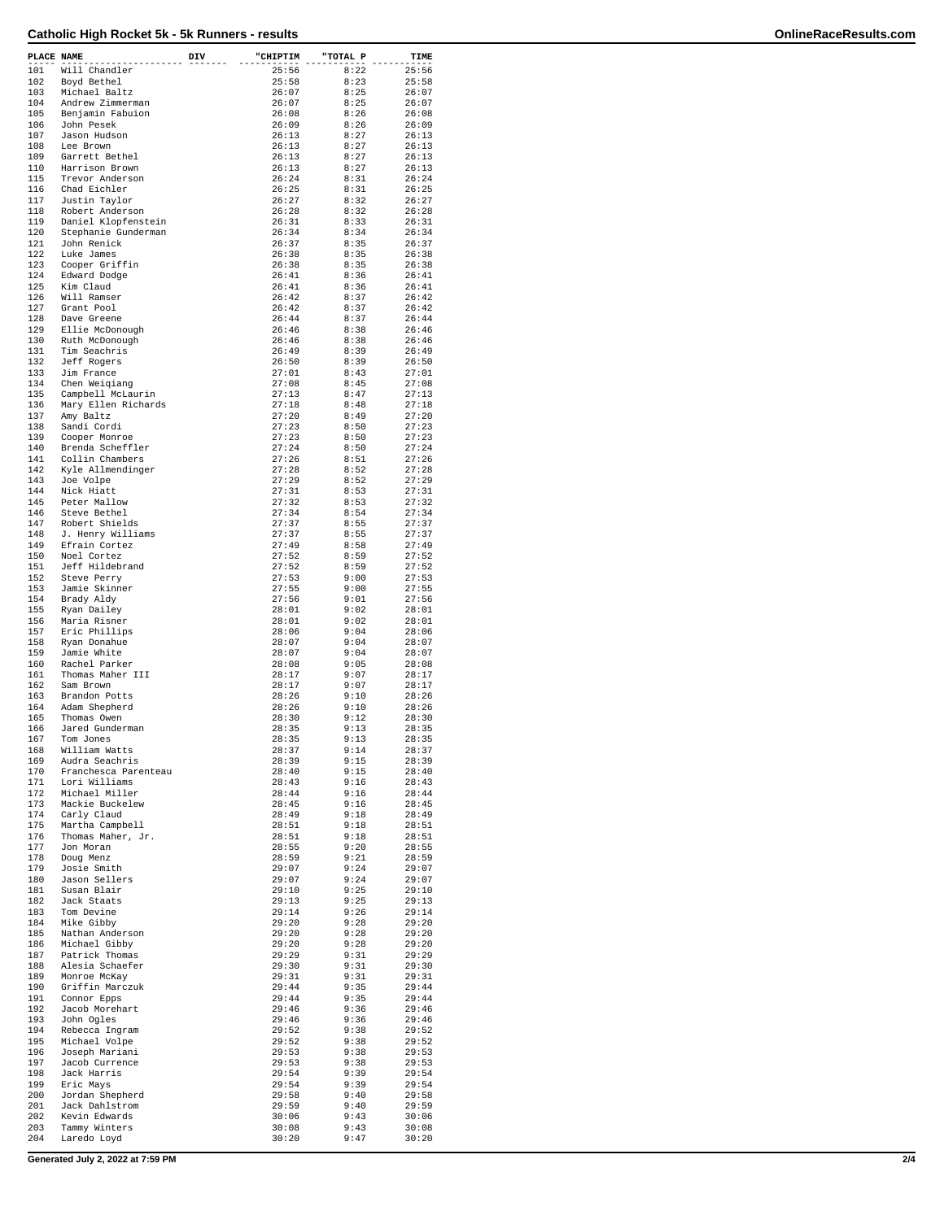| PLACE NAME |                                            | DIV | "CHIPTIM       | "TOTAL P     | TIME           |
|------------|--------------------------------------------|-----|----------------|--------------|----------------|
| 101        | Will Chandler                              |     | 25:56          | 8:22         | 25:56          |
| 102<br>103 | Boyd Bethel<br>Michael Baltz               |     | 25:58<br>26:07 | 8:23<br>8:25 | 25:58<br>26:07 |
| 104        | Andrew Zimmerman                           |     | 26:07          | 8:25         | 26:07          |
| 105        | Benjamin Fabuion                           |     | 26:08          | 8:26         | 26:08          |
| 106<br>107 | John Pesek<br>Jason Hudson                 |     | 26:09<br>26:13 | 8:26<br>8:27 | 26:09<br>26:13 |
| 108        | Lee Brown                                  |     | 26:13          | 8:27         | 26:13          |
| 109        | Garrett Bethel                             |     | 26:13          | 8:27         | 26:13          |
| 110<br>115 | Harrison Brown<br>Trevor Anderson          |     | 26:13<br>26:24 | 8:27<br>8:31 | 26:13<br>26:24 |
| 116        | Chad Eichler                               |     | 26:25          | 8:31         | 26:25          |
| 117        | Justin Taylor                              |     | 26:27          | 8:32         | 26:27          |
| 118<br>119 | Robert Anderson                            |     | 26:28<br>26:31 | 8:32<br>8:33 | 26:28          |
| 120        | Daniel Klopfenstein<br>Stephanie Gunderman |     | 26:34          | 8:34         | 26:31<br>26:34 |
| 121        | John Renick                                |     | 26:37          | 8:35         | 26:37          |
| 122        | Luke James                                 |     | 26:38          | 8:35         | 26:38          |
| 123<br>124 | Cooper Griffin<br>Edward Dodge             |     | 26:38<br>26:41 | 8:35<br>8:36 | 26:38<br>26:41 |
| 125        | Kim Claud                                  |     | 26:41          | 8:36         | 26:41          |
| 126        | Will Ramser                                |     | 26:42          | 8:37         | 26:42          |
| 127<br>128 | Grant Pool<br>Dave Greene                  |     | 26:42<br>26:44 | 8:37<br>8:37 | 26:42<br>26:44 |
| 129        | Ellie McDonough                            |     | 26:46          | 8:38         | 26:46          |
| 130        | Ruth McDonough                             |     | 26:46          | 8:38         | 26:46          |
| 131        | Tim Seachris                               |     | 26:49          | 8:39         | 26:49          |
| 132<br>133 | Jeff Rogers<br>Jim France                  |     | 26:50<br>27:01 | 8:39<br>8:43 | 26:50<br>27:01 |
| 134        | Chen Weigiang                              |     | 27:08          | 8:45         | 27:08          |
| 135        | Campbell McLaurin                          |     | 27:13          | 8:47         | 27:13          |
| 136<br>137 | Mary Ellen Richards<br>Amy Baltz           |     | 27:18<br>27:20 | 8:48<br>8:49 | 27:18<br>27:20 |
| 138        | Sandi Cordi                                |     | 27:23          | 8:50         | 27:23          |
| 139        | Cooper Monroe                              |     | 27:23          | 8:50         | 27:23          |
| 140        | Brenda Scheffler                           |     | 27:24          | 8:50         | 27:24          |
| 141        | Collin Chambers                            |     | 27:26          | 8:51         | 27:26          |
| 142<br>143 | Kyle Allmendinger<br>Joe Volpe             |     | 27:28<br>27:29 | 8:52<br>8:52 | 27:28<br>27:29 |
| 144        | Nick Hiatt                                 |     | 27:31          | 8:53         | 27:31          |
| 145        | Peter Mallow                               |     | 27:32          | 8:53         | 27:32          |
| 146        | Steve Bethel                               |     | 27:34          | 8:54         | 27:34          |
| 147<br>148 | Robert Shields<br>J. Henry Williams        |     | 27:37<br>27:37 | 8:55<br>8:55 | 27:37<br>27:37 |
| 149        | Efrain Cortez                              |     | 27:49          | 8:58         | 27:49          |
| 150        | Noel Cortez                                |     | 27:52          | 8:59         | 27:52          |
| 151        | Jeff Hildebrand                            |     | 27:52          | 8:59         | 27:52          |
| 152<br>153 | Steve Perry<br>Jamie Skinner               |     | 27:53<br>27:55 | 9:00<br>9:00 | 27:53<br>27:55 |
| 154        | Brady Aldy                                 |     | 27:56          | 9:01         | 27:56          |
| 155        | Ryan Dailey                                |     | 28:01          | 9:02         | 28:01          |
| 156        | Maria Risner                               |     | 28:01          | 9:02         | 28:01          |
| 157<br>158 | Eric Phillips<br>Ryan Donahue              |     | 28:06<br>28:07 | 9:04<br>9:04 | 28:06<br>28:07 |
| 159        | Jamie White                                |     | 28:07          | 9:04         | 28:07          |
| 160        | Rachel Parker                              |     | 28:08          | 9:05         | 28:08          |
| 161        | Thomas Maher III                           |     | 28:17          | 9:07         | 28:17          |
| 162<br>163 | Sam Brown<br>Brandon Potts                 |     | 28:17<br>28:26 | 9:07<br>9:10 | 28:17<br>28:26 |
| 164        | Adam Shepherd                              |     | 28:26          | 9:10         | 28:26          |
| 165        | Thomas Owen                                |     | 28:30          | 9:12         | 28:30          |
| 166<br>167 | Jared Gunderman                            |     | 28:35          | 9:13         | 28:35          |
| 168        | Tom Jones<br>William Watts                 |     | 28:35<br>28:37 | 9:13<br>9:14 | 28:35<br>28:37 |
| 169        | Audra Seachris                             |     | 28:39          | 9:15         | 28:39          |
| 170        | Franchesca Parenteau                       |     | 28:40          | 9:15         | 28:40          |
| 171<br>172 | Lori Williams<br>Michael Miller            |     | 28:43<br>28:44 | 9:16<br>9:16 | 28:43<br>28:44 |
| 173        | Mackie Buckelew                            |     | 28:45          | 9:16         | 28:45          |
| 174        | Carly Claud                                |     | 28:49          | 9:18         | 28:49          |
| 175<br>176 | Martha Campbell                            |     | 28:51          | 9:18         | 28:51          |
| 177        | Thomas Maher, Jr.<br>Jon Moran             |     | 28:51<br>28:55 | 9:18<br>9:20 | 28:51<br>28:55 |
| 178        | Doug Menz                                  |     | 28:59          | 9:21         | 28:59          |
| 179        | Josie Smith                                |     | 29:07          | 9:24         | 29:07          |
| 180<br>181 | Jason Sellers<br>Susan Blair               |     | 29:07<br>29:10 | 9:24<br>9:25 | 29:07<br>29:10 |
| 182        | Jack Staats                                |     | 29:13          | 9:25         | 29:13          |
| 183        | Tom Devine                                 |     | 29:14          | 9:26         | 29:14          |
| 184        | Mike Gibby                                 |     | 29:20          | 9:28         | 29:20          |
| 185<br>186 | Nathan Anderson<br>Michael Gibby           |     | 29:20<br>29:20 | 9:28<br>9:28 | 29:20<br>29:20 |
| 187        | Patrick Thomas                             |     | 29:29          | 9:31         | 29:29          |
| 188        | Alesia Schaefer                            |     | 29:30          | 9:31         | 29:30          |
| 189        | Monroe McKay                               |     | 29:31          | 9:31         | 29:31          |
| 190<br>191 | Griffin Marczuk<br>Connor Epps             |     | 29:44<br>29:44 | 9:35<br>9:35 | 29:44<br>29:44 |
| 192        | Jacob Morehart                             |     | 29:46          | 9:36         | 29:46          |
| 193        | John Ogles                                 |     | 29:46          | 9:36         | 29:46          |
| 194        | Rebecca Ingram                             |     | 29:52          | 9:38         | 29:52          |
| 195<br>196 | Michael Volpe                              |     | 29:52          | 9:38         | 29:52          |
| 197        | Joseph Mariani<br>Jacob Currence           |     | 29:53<br>29:53 | 9:38<br>9:38 | 29:53<br>29:53 |
| 198        | Jack Harris                                |     | 29:54          | 9:39         | 29:54          |
| 199        | Eric Mays                                  |     | 29:54          | 9:39         | 29:54          |
| 200<br>201 | Jordan Shepherd                            |     | 29:58<br>29:59 | 9:40<br>9:40 | 29:58          |
| 202        | Jack Dahlstrom<br>Kevin Edwards            |     | 30:06          | 9:43         | 29:59<br>30:06 |
| 203        | Tammy Winters                              |     | 30:08          | 9:43         | 30:08          |
| 204        | Laredo Loyd                                |     | 30:20          | 9:47         | 30:20          |

**Generated July 2, 2022 at 7:59 PM 2/4**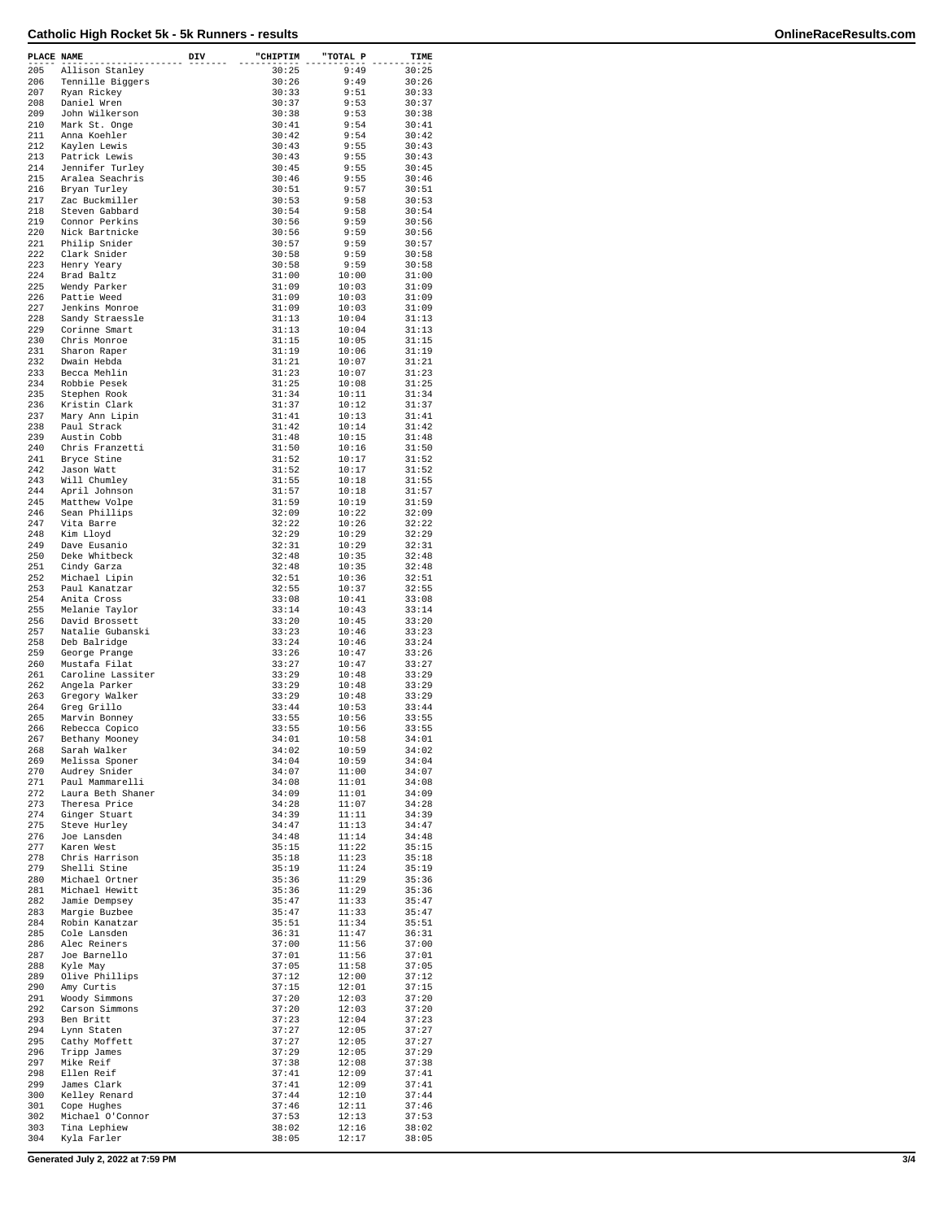| PLACE NAME |                   | DIV | "CHIPTIM | "TOTAL P | TIME  |
|------------|-------------------|-----|----------|----------|-------|
| 205        | Allison Stanley   |     | 30:25    | 9:49     | 30:25 |
| 206        | Tennille Biggers  |     | 30:26    | 9:49     | 30:26 |
| 207        | Ryan Rickey       |     | 30:33    | 9:51     | 30:33 |
| 208        | Daniel Wren       |     | 30:37    | 9:53     | 30:37 |
| 209        | John Wilkerson    |     | 30:38    | 9:53     | 30:38 |
| 210        | Mark St. Onge     |     | 30:41    | 9:54     | 30:41 |
| 211        | Anna Koehler      |     | 30:42    | 9:54     | 30:42 |
| 212        |                   |     | 30:43    | 9:55     | 30:43 |
| 213        | Kaylen Lewis      |     |          |          |       |
|            | Patrick Lewis     |     | 30:43    | 9:55     | 30:43 |
| 214        | Jennifer Turley   |     | 30:45    | 9:55     | 30:45 |
| 215        | Aralea Seachris   |     | 30:46    | 9:55     | 30:46 |
| 216        | Bryan Turley      |     | 30:51    | 9:57     | 30:51 |
| 217        | Zac Buckmiller    |     | 30:53    | 9:58     | 30:53 |
| 218        | Steven Gabbard    |     | 30:54    | 9:58     | 30:54 |
| 219        | Connor Perkins    |     | 30:56    | 9:59     | 30:56 |
| 220        | Nick Bartnicke    |     | 30:56    | 9:59     | 30:56 |
| 221        | Philip Snider     |     | 30:57    | 9:59     | 30:57 |
| 222        | Clark Snider      |     | 30:58    | 9:59     | 30:58 |
| 223        | Henry Yeary       |     | 30:58    | 9:59     | 30:58 |
| 224        | Brad Baltz        |     | 31:00    | 10:00    | 31:00 |
| 225        | Wendy Parker      |     | 31:09    | 10:03    | 31:09 |
| 226        | Pattie Weed       |     | 31:09    | 10:03    | 31:09 |
| 227        | Jenkins Monroe    |     | 31:09    | 10:03    | 31:09 |
| 228        | Sandy Straessle   |     | 31:13    | 10:04    | 31:13 |
| 229        | Corinne Smart     |     | 31:13    | 10:04    | 31:13 |
| 230        | Chris Monroe      |     | 31:15    | 10:05    | 31:15 |
| 231        | Sharon Raper      |     | 31:19    | 10:06    | 31:19 |
| 232        | Dwain Hebda       |     | 31:21    | 10:07    | 31:21 |
| 233        | Becca Mehlin      |     | 31:23    | 10:07    | 31:23 |
| 234        | Robbie Pesek      |     | 31:25    | 10:08    | 31:25 |
| 235        | Stephen Rook      |     | 31:34    | 10:11    | 31:34 |
| 236        | Kristin Clark     |     | 31:37    | 10:12    | 31:37 |
| 237        | Mary Ann Lipin    |     | 31:41    | 10:13    | 31:41 |
| 238        | Paul Strack       |     | 31:42    | 10:14    | 31:42 |
| 239        | Austin Cobb       |     | 31:48    | 10:15    | 31:48 |
| 240        | Chris Franzetti   |     | 31:50    | 10:16    | 31:50 |
| 241        | Bryce Stine       |     | 31:52    | 10:17    | 31:52 |
| 242        | Jason Watt        |     | 31:52    | 10:17    | 31:52 |
| 243        | Will Chumley      |     | 31:55    | 10:18    | 31:55 |
| 244        | April Johnson     |     | 31:57    | 10:18    | 31:57 |
| 245        | Matthew Volpe     |     | 31:59    | 10:19    | 31:59 |
| 246        | Sean Phillips     |     | 32:09    | 10:22    | 32:09 |
| 247        | Vita Barre        |     | 32:22    | 10:26    | 32:22 |
| 248        | Kim Lloyd         |     | 32:29    | 10:29    | 32:29 |
| 249        | Dave Eusanio      |     | 32:31    | 10:29    | 32:31 |
| 250        | Deke Whitbeck     |     |          |          |       |
|            |                   |     | 32:48    | 10:35    | 32:48 |
| 251        | Cindy Garza       |     | 32:48    | 10:35    | 32:48 |
| 252        | Michael Lipin     |     | 32:51    | 10:36    | 32:51 |
| 253        | Paul Kanatzar     |     | 32:55    | 10:37    | 32:55 |
| 254        | Anita Cross       |     | 33:08    | 10:41    | 33:08 |
| 255        | Melanie Taylor    |     | 33:14    | 10:43    | 33:14 |
| 256        | David Brossett    |     | 33:20    | 10:45    | 33:20 |
| 257        | Natalie Gubanski  |     | 33:23    | 10:46    | 33:23 |
| 258        | Deb Balridge      |     | 33:24    | 10:46    | 33:24 |
| 259        | George Prange     |     | 33:26    | 10:47    | 33:26 |
| 260        | Mustafa Filat     |     | 33:27    | 10:47    | 33:27 |
| 261        | Caroline Lassiter |     | 33:29    | 10:48    | 33:29 |
| 262        | Angela Parker     |     | 33:29    | 10:48    | 33:29 |
| 263        | Gregory Walker    |     | 33:29    | 10:48    | 33:29 |
| 264        | Greg Grillo       |     | 33:44    | 10:53    | 33:44 |
| 265        | Marvin Bonney     |     | 33:55    | 10:56    | 33:55 |
| 266        | Rebecca Copico    |     | 33:55    | 10:56    | 33:55 |
| 267        | Bethany Mooney    |     | 34:01    | 10:58    | 34:01 |
| 268        | Sarah Walker      |     | 34:02    | 10:59    | 34:02 |
| 269        | Melissa Sponer    |     | 34:04    | 10:59    | 34:04 |
| 270        | Audrey Snider     |     | 34:07    | 11:00    | 34:07 |
| 271        | Paul Mammarelli   |     | 34:08    | 11:01    | 34:08 |
| 272        | Laura Beth Shaner |     | 34:09    | 11:01    | 34:09 |
| 273        | Theresa Price     |     | 34:28    | 11:07    | 34:28 |
| 274        | Ginger Stuart     |     | 34:39    | 11:11    | 34:39 |
| 275        | Steve Hurley      |     | 34:47    | 11:13    | 34:47 |
| 276        | Joe Lansden       |     | 34:48    | 11:14    | 34:48 |
| 277        | Karen West        |     | 35:15    | 11:22    | 35:15 |
| 278        | Chris Harrison    |     | 35:18    | 11:23    | 35:18 |
| 279        | Shelli Stine      |     | 35:19    | 11:24    | 35:19 |
| 280        | Michael Ortner    |     | 35:36    | 11:29    | 35:36 |
| 281        | Michael Hewitt    |     | 35:36    | 11:29    | 35:36 |
| 282        | Jamie Dempsey     |     | 35:47    | 11:33    | 35:47 |
| 283        | Margie Buzbee     |     | 35:47    | 11:33    | 35:47 |
| 284        | Robin Kanatzar    |     | 35:51    | 11:34    | 35:51 |
| 285        | Cole Lansden      |     | 36:31    | 11:47    | 36:31 |
| 286        | Alec Reiners      |     | 37:00    | 11:56    | 37:00 |
| 287        | Joe Barnello      |     | 37:01    | 11:56    | 37:01 |
| 288        | Kyle May          |     | 37:05    | 11:58    | 37:05 |
| 289        | Olive Phillips    |     | 37:12    | 12:00    | 37:12 |
| 290        | Amy Curtis        |     | 37:15    | 12:01    | 37:15 |
| 291        | Woody Simmons     |     | 37:20    | 12:03    | 37:20 |
| 292        | Carson Simmons    |     | 37:20    | 12:03    | 37:20 |
| 293        | Ben Britt         |     | 37:23    | 12:04    | 37:23 |
| 294        | Lynn Staten       |     | 37:27    | 12:05    | 37:27 |
| 295        | Cathy Moffett     |     | 37:27    | 12:05    | 37:27 |
| 296        | Tripp James       |     | 37:29    | 12:05    | 37:29 |
| 297        | Mike Reif         |     | 37:38    | 12:08    | 37:38 |
| 298        | Ellen Reif        |     | 37:41    | 12:09    | 37:41 |
| 299        | James Clark       |     | 37:41    | 12:09    | 37:41 |
| 300        | Kelley Renard     |     | 37:44    | 12:10    | 37:44 |
| 301        | Cope Hughes       |     | 37:46    | 12:11    | 37:46 |
| 302        | Michael O'Connor  |     | 37:53    | 12:13    | 37:53 |
| 303        | Tina Lephiew      |     | 38:02    | 12:16    | 38:02 |
| 304        | Kyla Farler       |     | 38:05    | 12:17    | 38:05 |
|            |                   |     |          |          |       |

**Generated July 2, 2022 at 7:59 PM 3/4**